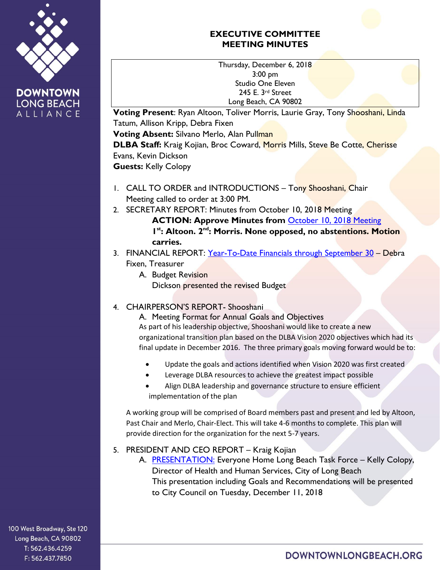

## **EXECUTIVE COMMITTEE MEETING MINUTES**

Thursday, December 6, 2018 3:00 pm Studio One Eleven 245 E. 3rd Street Long Beach, CA 90802

**Voting Present**: Ryan Altoon, Toliver Morris, Laurie Gray, Tony Shooshani, Linda Tatum, Allison Kripp, Debra Fixen **Voting Absent:** Silvano Merlo, Alan Pullman **DLBA Staff:** Kraig Kojian, Broc Coward, Morris Mills, Steve Be Cotte, Cherisse Evans, Kevin Dickson **Guests:** Kelly Colopy

- 1. CALL TO ORDER and INTRODUCTIONS Tony Shooshani, Chair Meeting called to order at 3:00 PM.
- 2. SECRETARY REPORT: Minutes from October 10, 2018 Meeting

**ACTION: Approve Minutes from** [October 10, 2018](https://downtownlongbeach.org/wp-content/uploads/EC-10-10-18-Minutes-1.pdf) Meeting 1<sup>st</sup>: Altoon. 2<sup>nd</sup>: Morris. None opposed, no abstentions. Motion **carries.**

- 3. FINANCIAL REPORT: [Year-To-Date Financials](https://downtownlongbeach.org/wp-content/uploads/DLBA-Financial-Package-October-2018.pdf) through September 30 Debra Fixen, Treasurer
	- A. Budget Revision Dickson presented the revised Budget
- 4. CHAIRPERSON'S REPORT- Shooshani

A. Meeting Format for Annual Goals and Objectives As part of his leadership objective, Shooshani would like to create a new organizational transition plan based on the DLBA Vision 2020 objectives which had its final update in December 2016. The three primary goals moving forward would be to:

- Update the goals and actions identified when Vision 2020 was first created
- Leverage DLBA resources to achieve the greatest impact possible
- Align DLBA leadership and governance structure to ensure efficient implementation of the plan

A working group will be comprised of Board members past and present and led by Altoon, Past Chair and Merlo, Chair-Elect. This will take 4-6 months to complete. This plan will provide direction for the organization for the next 5-7 years.

5. PRESIDENT AND CEO REPORT – Kraig Kojian

A. [PRESENTATION:](https://downtownlongbeach.org/wp-content/uploads/Everyone-Home.-Kelly-Colopy.pdf) Everyone Home Long Beach Task Force - Kelly Colopy, Director of Health and Human Services, City of Long Beach This presentation including Goals and Recommendations will be presented to City Council on Tuesday, December 11, 2018

100 West Broadway, Ste 120 Long Beach, CA 90802 T: 562.436.4259 F: 562.437.7850